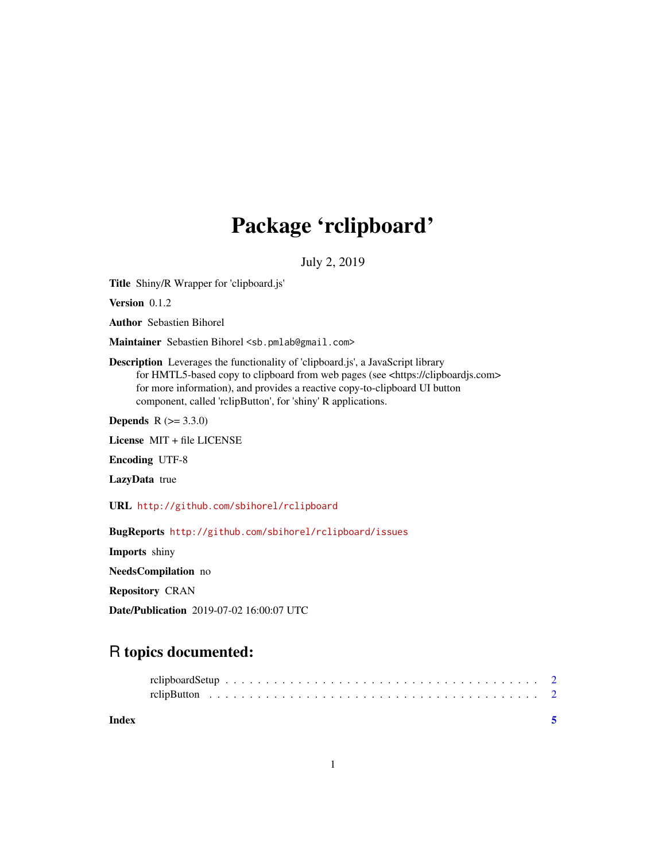## Package 'rclipboard'

July 2, 2019

<span id="page-0-0"></span>Title Shiny/R Wrapper for 'clipboard.js'

Version 0.1.2

Author Sebastien Bihorel

Maintainer Sebastien Bihorel <sb.pmlab@gmail.com>

Description Leverages the functionality of 'clipboard.js', a JavaScript library for HMTL5-based copy to clipboard from web pages (see <https://clipboardjs.com> for more information), and provides a reactive copy-to-clipboard UI button component, called 'rclipButton', for 'shiny' R applications.

**Depends** R  $(>= 3.3.0)$ 

License MIT + file LICENSE

Encoding UTF-8

LazyData true

URL <http://github.com/sbihorel/rclipboard>

BugReports <http://github.com/sbihorel/rclipboard/issues>

Imports shiny

NeedsCompilation no

Repository CRAN

Date/Publication 2019-07-02 16:00:07 UTC

### R topics documented:

| Index |  |  |  |  |  |  |  |  |  |  |  |  |  |  |  |  |  |  |
|-------|--|--|--|--|--|--|--|--|--|--|--|--|--|--|--|--|--|--|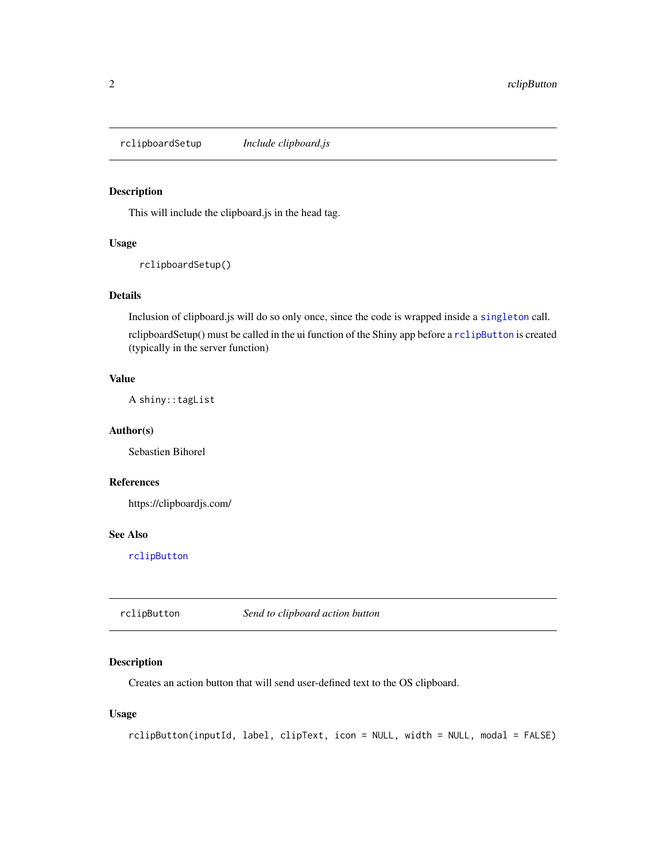<span id="page-1-2"></span><span id="page-1-0"></span>rclipboardSetup *Include clipboard.js*

#### Description

This will include the clipboard.js in the head tag.

#### Usage

```
rclipboardSetup()
```
#### Details

Inclusion of clipboard.js will do so only once, since the code is wrapped inside a [singleton](#page-0-0) call.

rclipboardSetup() must be called in the ui function of the Shiny app before a [rclipButton](#page-1-1) is created (typically in the server function)

#### Value

A shiny::tagList

#### Author(s)

Sebastien Bihorel

#### References

https://clipboardjs.com/

#### See Also

[rclipButton](#page-1-1)

<span id="page-1-1"></span>rclipButton *Send to clipboard action button*

#### Description

Creates an action button that will send user-defined text to the OS clipboard.

#### Usage

```
rclipButton(inputId, label, clipText, icon = NULL, width = NULL, modal = FALSE)
```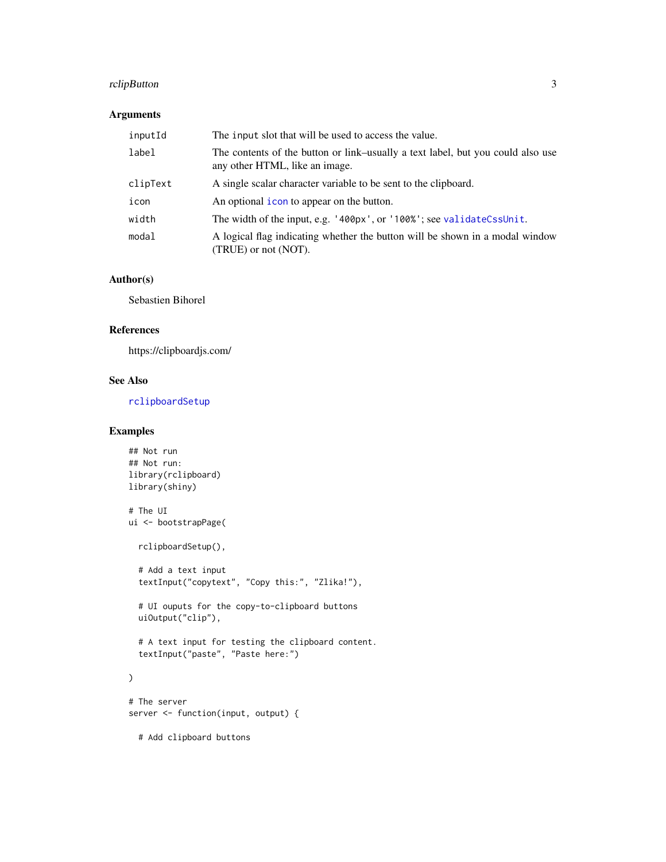#### <span id="page-2-0"></span>rclipButton 3

#### Arguments

| inputId  | The input slot that will be used to access the value.                                                             |
|----------|-------------------------------------------------------------------------------------------------------------------|
| label    | The contents of the button or link-usually a text label, but you could also use<br>any other HTML, like an image. |
| clipText | A single scalar character variable to be sent to the clipboard.                                                   |
| icon     | An optional <i>icon</i> to appear on the button.                                                                  |
| width    | The width of the input, e.g. '400px', or '100%'; see validateCssUnit.                                             |
| modal    | A logical flag indicating whether the button will be shown in a modal window<br>(TRUE) or not (NOT).              |

#### Author(s)

Sebastien Bihorel

#### References

https://clipboardjs.com/

#### See Also

[rclipboardSetup](#page-1-2)

#### Examples

```
## Not run
## Not run:
library(rclipboard)
library(shiny)
# The UI
ui <- bootstrapPage(
  rclipboardSetup(),
  # Add a text input
  textInput("copytext", "Copy this:", "Zlika!"),
  # UI ouputs for the copy-to-clipboard buttons
  uiOutput("clip"),
  # A text input for testing the clipboard content.
  textInput("paste", "Paste here:")
\mathcal{L}# The server
server <- function(input, output) {
  # Add clipboard buttons
```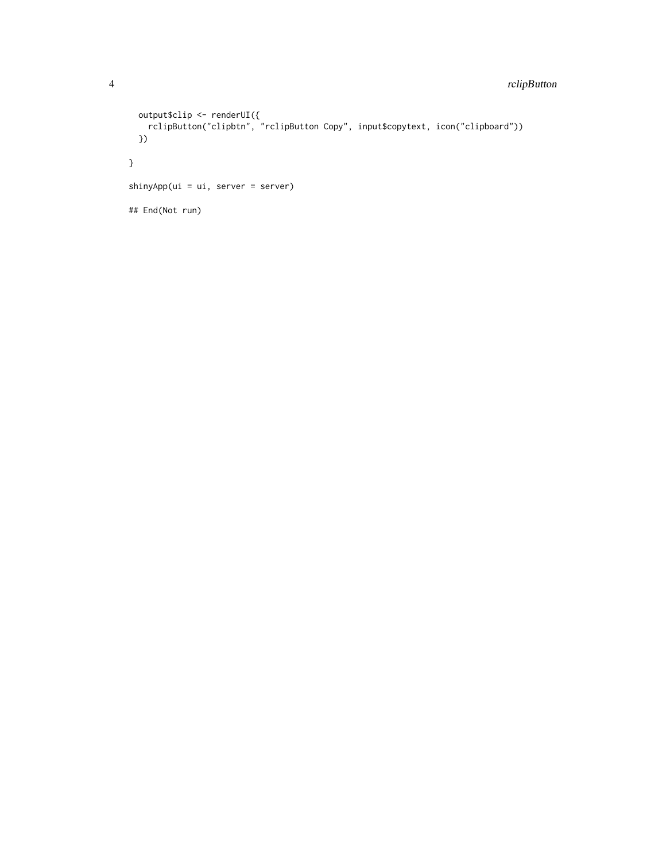#### 4 rclipButton

```
output$clip <- renderUI({
    rclipButton("clipbtn", "rclipButton Copy", input$copytext, icon("clipboard"))
  })
}
shinyApp(ui = ui, server = server)
## End(Not run)
```